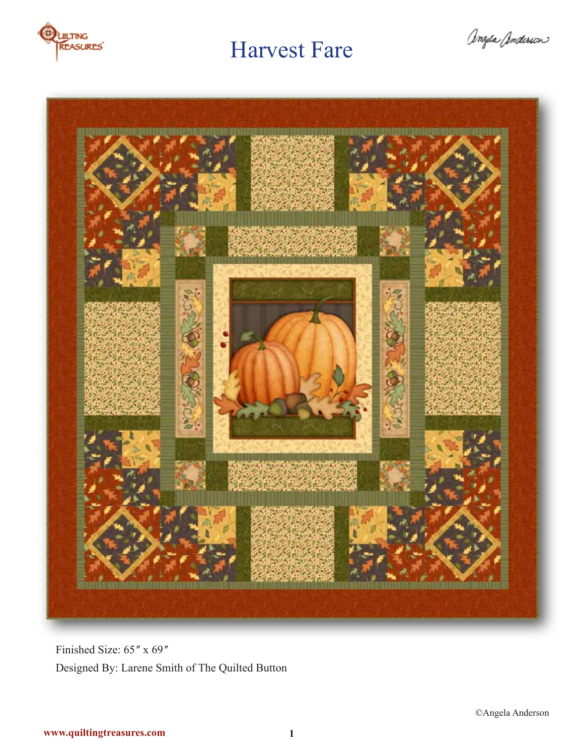

angela anderson



Finished Size: 65" x 69" Designed By: Larene Smith of The Quilted Button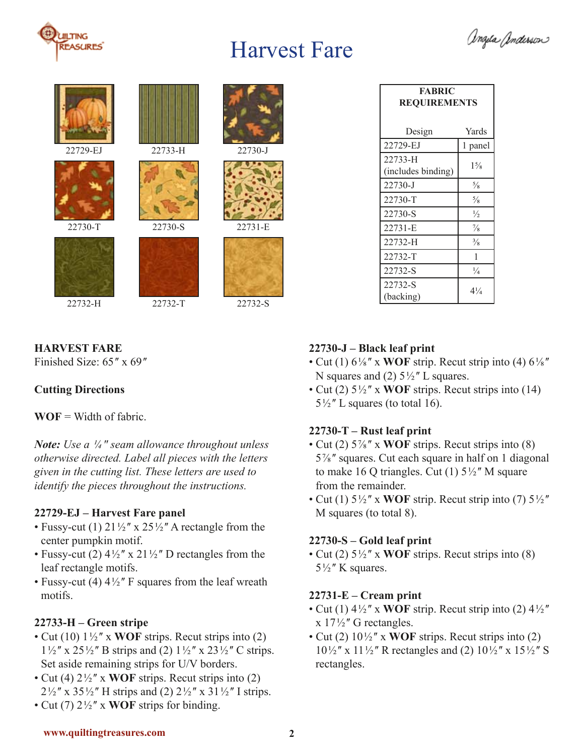





22729-EJ





















22732-T 22732-H 22732-S

| <b>FABRIC</b><br><b>REQUIREMENTS</b> |                |
|--------------------------------------|----------------|
| Design                               | Yards          |
| 22729-EJ                             | 1 panel        |
| 22733-H<br>(includes binding)        | $1\frac{5}{8}$ |
| 22730-J                              | $\frac{5}{8}$  |
| 22730-T                              | $\frac{5}{8}$  |
| 22730-S                              | $\frac{1}{2}$  |
| 22731-E                              | $\frac{7}{8}$  |
| 22732-H                              | $\frac{3}{8}$  |
| 22732-T                              | 1              |
| 22732-S                              | $\frac{1}{4}$  |
| 22732-S<br>(backing)                 | $4\frac{1}{4}$ |

## **HARVEST FARE**

Finished Size: 65<sup>"</sup> x 69"

## **Cutting Directions**

 $WOF = Width of fabric$ .

*Note: Use a  ¼ ʺ seam allowance throughout unless otherwise directed. Label all pieces with the letters given in the cutting list. These letters are used to identify the pieces throughout the instructions.* 

## **22729-EJ – Harvest Fare panel**

- Fussy-cut (1)  $21\frac{1}{2}$  x  $25\frac{1}{2}$  A rectangle from the center pumpkin motif.
- Fussy-cut (2)  $4\frac{1}{2}$ " x  $21\frac{1}{2}$ " D rectangles from the leaf rectangle motifs.
- Fussy-cut (4)  $4\frac{1}{2}$ " F squares from the leaf wreath motifs.

## **22733-H – Green stripe**

- Cut (10)  $1\frac{1}{2}$ " x **WOF** strips. Recut strips into (2)  $1\frac{1}{2}$ " x 25 $\frac{1}{2}$ " B strips and (2)  $1\frac{1}{2}$ " x 23 $\frac{1}{2}$ " C strips. Set aside remaining strips for U/V borders.
- Cut (4)  $2\frac{1}{2}$ " x **WOF** strips. Recut strips into (2)  $2\frac{1}{2}$ " x 35 $\frac{1}{2}$ " H strips and (2)  $2\frac{1}{2}$ " x 31 $\frac{1}{2}$ " I strips.
- Cut (7) 2 ½ ʺ x **WOF** strips for binding.

## **22730-J – Black leaf print**

- Cut (1)  $6\frac{1}{8}$ <sup>"</sup> x **WOF** strip. Recut strip into (4)  $6\frac{1}{8}$ " N squares and (2)  $5\frac{1}{2}$ " L squares.
- Cut (2)  $5\frac{1}{2}$ <sup>"</sup> x **WOF** strips. Recut strips into (14)  $5\frac{1}{2}$ " L squares (to total 16).

## **22730-T – Rust leaf print**

- Cut (2)  $5\frac{7}{8}$ " x **WOF** strips. Recut strips into (8) 5 ⅞ ʺ squares. Cut each square in half on 1 diagonal to make 16 Q triangles. Cut  $(1)$  5<sup> $1/2$ </sup><sup>"</sup> M square from the remainder.
- Cut (1)  $5\frac{1}{2}$ " x WOF strip. Recut strip into (7)  $5\frac{1}{2}$ " M squares (to total 8).

## **22730-S – Gold leaf print**

• Cut (2)  $5\frac{1}{2}$ " x **WOF** strips. Recut strips into (8)  $5\frac{1}{2}$ " K squares.

## **22731-E – Cream print**

- Cut (1)  $4\frac{1}{2}$ <sup>"</sup> x **WOF** strip. Recut strip into (2)  $4\frac{1}{2}$ "  $x 17\frac{1}{2}$ " G rectangles.
- Cut (2)  $10\frac{1}{2}$ <sup>"</sup> x **WOF** strips. Recut strips into (2)  $10\frac{1}{2}$ " x  $11\frac{1}{2}$ " R rectangles and (2)  $10\frac{1}{2}$ " x  $15\frac{1}{2}$ " S rectangles.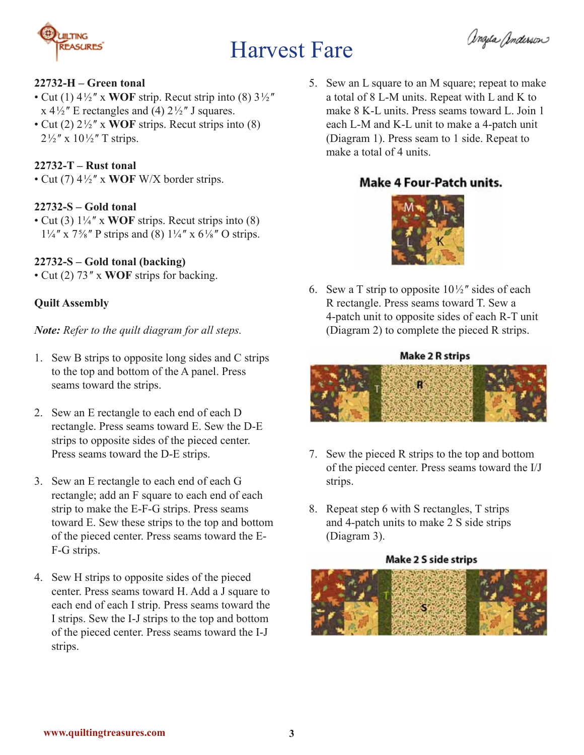

angela Anderson

#### **22732-H – Green tonal**

- Cut (1)  $4\frac{1}{2}$ <sup>"</sup> x **WOF** strip. Recut strip into (8)  $3\frac{1}{2}$ "  $x$  4 $\frac{1}{2}$ <sup>"</sup> E rectangles and (4) 2 $\frac{1}{2}$ " J squares.
- Cut (2) 2 ½ ʺ x **WOF** strips. Recut strips into (8)  $2\frac{1}{2}$ " x 10 $\frac{1}{2}$ " T strips.

#### **22732-T – Rust tonal**

• Cut (7) 4 ½ ʺ x **WOF** W/X border strips.

#### **22732-S – Gold tonal**

• Cut (3) 1¼ ʺ x **WOF** strips. Recut strips into (8)  $1\frac{1}{4}$  " x  $7\frac{5}{8}$ " P strips and (8)  $1\frac{1}{4}$  " x  $6\frac{1}{8}$ " O strips.

#### **22732-S – Gold tonal (backing)**

• Cut (2) 73" x **WOF** strips for backing.

### **Quilt Assembly**

*Note: Refer to the quilt diagram for all steps.*

- 1. Sew B strips to opposite long sides and C strips to the top and bottom of the A panel. Press seams toward the strips.
- 2. Sew an E rectangle to each end of each D rectangle. Press seams toward E. Sew the D-E strips to opposite sides of the pieced center. Press seams toward the D-E strips.
- 3. Sew an E rectangle to each end of each G rectangle; add an F square to each end of each strip to make the E-F-G strips. Press seams toward E. Sew these strips to the top and bottom of the pieced center. Press seams toward the E-F-G strips.
- 4. Sew H strips to opposite sides of the pieced center. Press seams toward H. Add a J square to each end of each I strip. Press seams toward the I strips. Sew the I-J strips to the top and bottom of the pieced center. Press seams toward the I-J strips.

5. Sew an L square to an M square; repeat to make a total of 8 L-M units. Repeat with L and K to make 8 K-L units. Press seams toward L. Join 1 each L-M and K-L unit to make a 4-patch unit (Diagram 1). Press seam to 1 side. Repeat to make a total of 4 units.

## **Make 4 Four-Patch units.**



6. Sew a T strip to opposite  $10\frac{1}{2}$  sides of each R rectangle. Press seams toward T. Sew a 4-patch unit to opposite sides of each R-T unit (Diagram 2) to complete the pieced R strips.

#### **Make 2 R strips**



- 7. Sew the pieced R strips to the top and bottom of the pieced center. Press seams toward the I/J strips.
- 8. Repeat step 6 with S rectangles, T strips and 4-patch units to make 2 S side strips (Diagram 3).

#### **Make 2 S side strips**